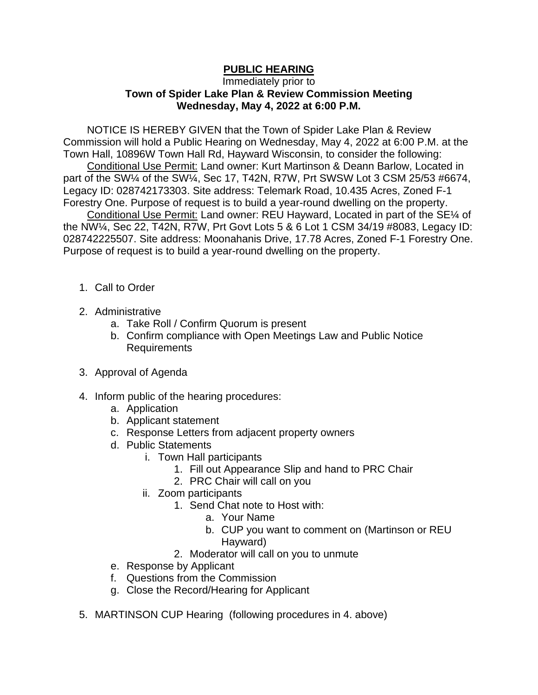## **PUBLIC HEARING**

## Immediately prior to **Town of Spider Lake Plan & Review Commission Meeting Wednesday, May 4, 2022 at 6:00 P.M.**

NOTICE IS HEREBY GIVEN that the Town of Spider Lake Plan & Review Commission will hold a Public Hearing on Wednesday, May 4, 2022 at 6:00 P.M. at the Town Hall, 10896W Town Hall Rd, Hayward Wisconsin, to consider the following:

Conditional Use Permit: Land owner: Kurt Martinson & Deann Barlow, Located in part of the SW¼ of the SW¼, Sec 17, T42N, R7W, Prt SWSW Lot 3 CSM 25/53 #6674, Legacy ID: 028742173303. Site address: Telemark Road, 10.435 Acres, Zoned F-1 Forestry One. Purpose of request is to build a year-round dwelling on the property.

Conditional Use Permit: Land owner: REU Hayward, Located in part of the SE¼ of the NW¼, Sec 22, T42N, R7W, Prt Govt Lots 5 & 6 Lot 1 CSM 34/19 #8083, Legacy ID: 028742225507. Site address: Moonahanis Drive, 17.78 Acres, Zoned F-1 Forestry One. Purpose of request is to build a year-round dwelling on the property.

- 1. Call to Order
- 2. Administrative
	- a. Take Roll / Confirm Quorum is present
	- b. Confirm compliance with Open Meetings Law and Public Notice Requirements
- 3. Approval of Agenda
- 4. Inform public of the hearing procedures:
	- a. Application
	- b. Applicant statement
	- c. Response Letters from adjacent property owners
	- d. Public Statements
		- i. Town Hall participants
			- 1. Fill out Appearance Slip and hand to PRC Chair
			- 2. PRC Chair will call on you
		- ii. Zoom participants
			- 1. Send Chat note to Host with:
				- a. Your Name
				- b. CUP you want to comment on (Martinson or REU Hayward)
			- 2. Moderator will call on you to unmute
	- e. Response by Applicant
	- f. Questions from the Commission
	- g. Close the Record/Hearing for Applicant
- 5. MARTINSON CUP Hearing (following procedures in 4. above)